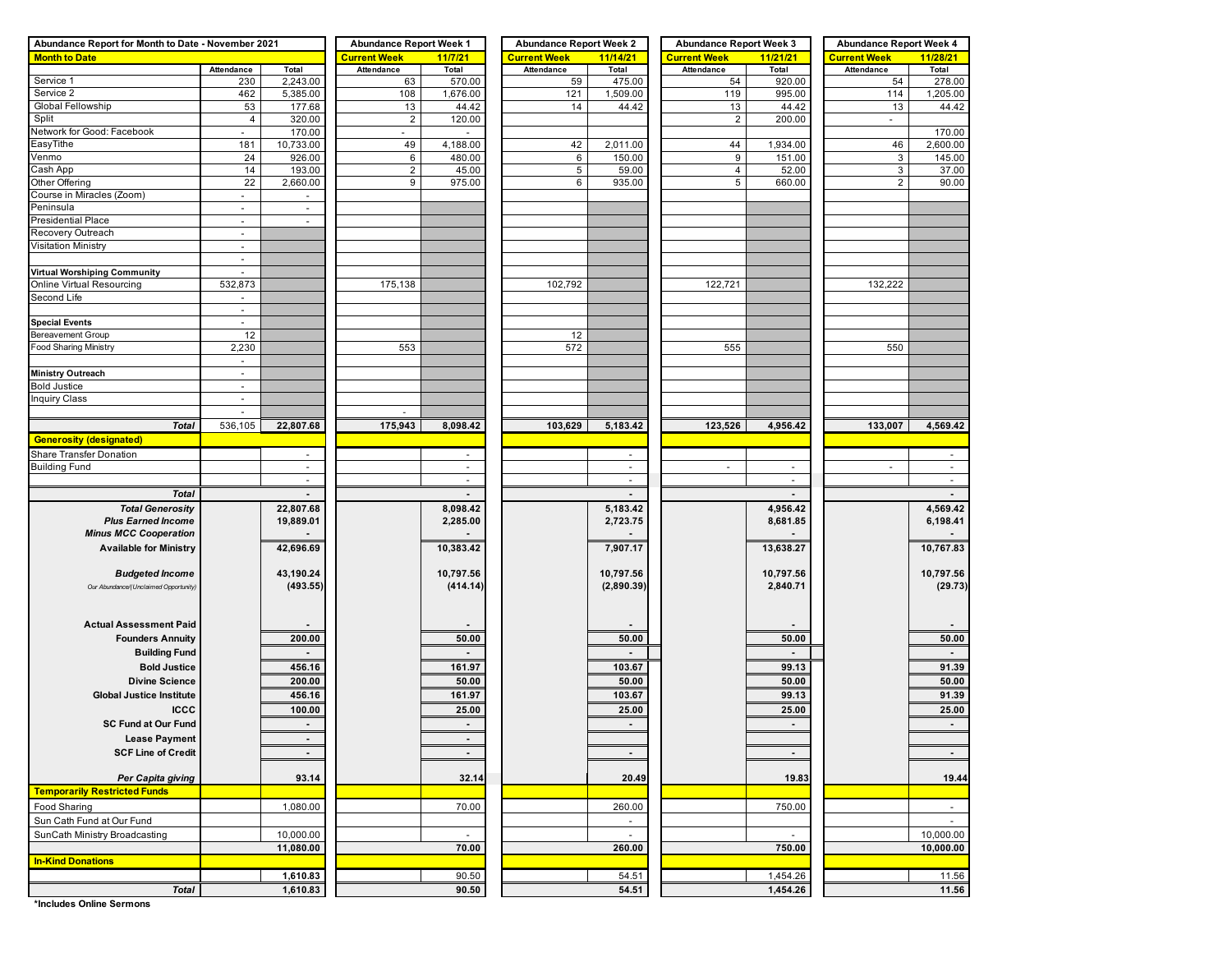| Abundance Report for Month to Date - November 2021 | <b>Abundance Report Week 1</b> |                            | <b>Abundance Report Week 2</b> |                            | <b>Abundance Report Week 3</b> |                                      | <b>Abundance Report Week 4</b> |                |                     |                |
|----------------------------------------------------|--------------------------------|----------------------------|--------------------------------|----------------------------|--------------------------------|--------------------------------------|--------------------------------|----------------|---------------------|----------------|
| <b>Month to Date</b>                               |                                |                            | <b>Current Week</b>            | 11/7/21                    | <b>Current Week</b>            | 11/14/21                             | <b>Current Week</b>            | 11/21/21       | <b>Current Week</b> | 11/28/21       |
|                                                    | Attendance                     | Total                      | Attendance                     | Total                      | Attendance                     | Total                                | Attendance                     | Total          | Attendance          | Total          |
| Service 1                                          | 230                            | 2,243.00                   | 63                             | 570.00                     | 59                             | 475.00                               | 54                             | 920.00         | 54                  | 278.00         |
| Service 2                                          | 462                            | 5,385.00                   | 108                            | 1,676.00                   | 121                            | 1,509.00                             | 119                            | 995.00         | 114                 | 1,205.00       |
| Global Fellowship                                  | 53                             | 177.68                     | 13                             | 44.42                      | 14                             | 44.42                                | 13                             | 44.42          | 13                  | 44.42          |
| Split                                              | 4                              | 320.00                     | $\overline{2}$                 | 120.00                     |                                |                                      | $\overline{2}$                 | 200.00         | $\blacksquare$      |                |
| Network for Good: Facebook                         | $\blacksquare$                 | 170.00                     | $\blacksquare$                 | $\blacksquare$             |                                |                                      |                                |                |                     | 170.00         |
| EasyTithe                                          | 181                            | 10,733.00                  | 49                             | 4,188.00                   | 42                             | 2,011.00                             | 44                             | 1,934.00       | 46                  | 2,600.00       |
| Venmo                                              | 24                             | 926.00                     | 6                              | 480.00                     | 6                              | 150.00                               | 9                              | 151.00         | 3                   | 145.00         |
| Cash App                                           | 14                             | 193.00                     | $\overline{2}$                 | 45.00                      | 5                              | 59.00                                | 4                              | 52.00          | 3                   | 37.00          |
| Other Offering                                     | 22                             | 2,660.00                   | 9                              | 975.00                     | 6                              | 935.00                               | 5                              | 660.00         | $\overline{2}$      | 90.00          |
| Course in Miracles (Zoom)                          | $\blacksquare$                 |                            |                                |                            |                                |                                      |                                |                |                     |                |
| Peninsula                                          | $\sim$                         | $\blacksquare$             |                                |                            |                                |                                      |                                |                |                     |                |
| <b>Presidential Place</b>                          | $\overline{\phantom{a}}$       | $\sim$                     |                                |                            |                                |                                      |                                |                |                     |                |
| Recovery Outreach                                  | $\blacksquare$                 |                            |                                |                            |                                |                                      |                                |                |                     |                |
| Visitation Ministry                                | $\sim$                         |                            |                                |                            |                                |                                      |                                |                |                     |                |
|                                                    | $\blacksquare$                 |                            |                                |                            |                                |                                      |                                |                |                     |                |
| Virtual Worshiping Community                       | $\blacksquare$                 |                            |                                |                            |                                |                                      |                                |                |                     |                |
| Online Virtual Resourcing<br>Second Life           | 532,873                        |                            | 175,138                        |                            | 102,792                        |                                      | 122,721                        |                | 132,222             |                |
|                                                    | $\blacksquare$                 |                            |                                |                            |                                |                                      |                                |                |                     |                |
| <b>Special Events</b>                              | $\blacksquare$<br>ä,           |                            |                                |                            |                                |                                      |                                |                |                     |                |
| <b>Bereavement Group</b>                           | 12                             |                            |                                |                            | 12                             |                                      |                                |                |                     |                |
| Food Sharing Ministry                              | 2,230                          |                            | 553                            |                            | 572                            |                                      | 555                            |                | 550                 |                |
|                                                    | $\sim$                         |                            |                                |                            |                                |                                      |                                |                |                     |                |
| <b>Ministry Outreach</b>                           | $\overline{\phantom{a}}$       |                            |                                |                            |                                |                                      |                                |                |                     |                |
| <b>Bold Justice</b>                                | $\sim$                         |                            |                                |                            |                                |                                      |                                |                |                     |                |
| <b>Inquiry Class</b>                               | $\overline{\phantom{a}}$       |                            |                                |                            |                                |                                      |                                |                |                     |                |
|                                                    | $\blacksquare$                 |                            | $\overline{\phantom{a}}$       |                            |                                |                                      |                                |                |                     |                |
| <b>Total</b>                                       | 536,105                        | 22,807.68                  | 175,943                        | 8,098.42                   | 103,629                        | 5,183.42                             | 123,526                        | 4,956.42       | 133,007             | 4,569.42       |
| <b>Generosity (designated)</b>                     |                                |                            |                                |                            |                                |                                      |                                |                |                     |                |
|                                                    |                                |                            |                                |                            |                                |                                      |                                |                |                     |                |
| Share Transfer Donation                            |                                | $\sim$                     |                                | $\sim$                     |                                | $\sim$                               |                                |                |                     | $\sim$         |
| <b>Building Fund</b>                               |                                | $\blacksquare$<br>$\omega$ |                                | $\blacksquare$<br>$\omega$ |                                | $\overline{\phantom{a}}$<br>$\omega$ |                                | ÷,<br>$\omega$ |                     | $\omega$       |
|                                                    |                                |                            |                                |                            |                                |                                      |                                |                |                     |                |
| <b>Total</b>                                       |                                |                            |                                |                            |                                |                                      |                                |                |                     | $\blacksquare$ |
| <b>Total Generosity</b>                            |                                | 22,807.68                  |                                | 8,098.42                   |                                | 5,183.42                             |                                | 4,956.42       |                     | 4,569.42       |
| <b>Plus Earned Income</b>                          |                                | 19,889.01                  |                                | 2,285.00                   |                                | 2,723.75                             |                                | 8,681.85       |                     | 6,198.41       |
| <b>Minus MCC Cooperation</b>                       |                                |                            |                                |                            |                                |                                      |                                |                |                     |                |
| <b>Available for Ministry</b>                      |                                | 42,696.69                  |                                | 10,383.42                  |                                | 7,907.17                             |                                | 13,638.27      |                     | 10,767.83      |
|                                                    |                                |                            |                                |                            |                                |                                      |                                |                |                     |                |
| <b>Budgeted Income</b>                             |                                | 43,190.24                  |                                | 10,797.56                  |                                | 10,797.56                            |                                | 10,797.56      |                     | 10,797.56      |
| Our Abundance/(Unclaimed Opportunity)              |                                | (493.55)                   |                                | (414.14)                   |                                | (2,890.39)                           |                                | 2,840.71       |                     | (29.73)        |
|                                                    |                                |                            |                                |                            |                                |                                      |                                |                |                     |                |
|                                                    |                                |                            |                                |                            |                                |                                      |                                |                |                     |                |
| <b>Actual Assessment Paid</b>                      |                                |                            |                                |                            |                                |                                      |                                |                |                     |                |
| <b>Founders Annuity</b>                            |                                | 200.00                     |                                | 50.00                      |                                | 50.00                                |                                | 50.00          |                     | 50.00          |
| <b>Building Fund</b>                               |                                |                            |                                |                            |                                |                                      |                                | $\blacksquare$ |                     | $\blacksquare$ |
| <b>Bold Justice</b>                                |                                | 456.16                     |                                | 161.97                     |                                | 103.67                               |                                | 99.13          |                     | 91.39          |
| <b>Divine Science</b>                              |                                | 200.00                     |                                | 50.00                      |                                | 50.00                                |                                | 50.00          |                     | 50.00          |
| <b>Global Justice Institute</b>                    |                                | 456.16                     |                                | 161.97                     |                                | 103.67                               |                                | 99.13          |                     | 91.39          |
| ICCC                                               |                                | 100.00                     |                                | 25.00                      |                                | 25.00                                |                                | 25.00          |                     | 25.00          |
| <b>SC Fund at Our Fund</b>                         |                                | $\blacksquare$             |                                | $\sim$                     |                                | $\blacksquare$                       |                                | $\blacksquare$ |                     | $\blacksquare$ |
| <b>Lease Payment</b>                               |                                | $\sim$                     |                                | $\sim$                     |                                |                                      |                                |                |                     |                |
| <b>SCF Line of Credit</b>                          |                                | $\sim$                     |                                | $\sim$                     |                                | $\sim$                               |                                | $\blacksquare$ |                     | $\sim$         |
|                                                    |                                |                            |                                |                            |                                |                                      |                                |                |                     |                |
| Per Capita giving                                  |                                | 93.14                      |                                | 32.14                      |                                | 20.49                                |                                | 19.83          |                     | 19.44          |
| <b>Temporarily Restricted Funds</b>                |                                |                            |                                |                            |                                |                                      |                                |                |                     |                |
|                                                    |                                |                            |                                |                            |                                |                                      |                                |                |                     |                |
| Food Sharing                                       |                                | 1,080.00                   |                                | 70.00                      |                                | 260.00                               |                                | 750.00         |                     | $\sim$         |
| Sun Cath Fund at Our Fund                          |                                |                            |                                |                            |                                | $\blacksquare$                       |                                |                |                     | $\sim$         |
| SunCath Ministry Broadcasting                      |                                | 10,000.00                  |                                |                            |                                | ä,                                   |                                | $\sim$         |                     | 10,000.00      |
|                                                    |                                | 11,080.00                  |                                | 70.00                      |                                | 260.00                               |                                | 750.00         |                     | 10,000.00      |
| <b>In-Kind Donations</b>                           |                                |                            |                                |                            |                                |                                      |                                |                |                     |                |
|                                                    |                                | 1,610.83                   |                                | 90.50                      |                                | 54.51                                |                                | 1,454.26       |                     | 11.56          |
| <b>Total</b>                                       |                                | 1,610.83                   |                                | 90.50                      |                                | 54.51                                |                                | 1,454.26       |                     | 11.56          |

**\*Includes Online Sermons**